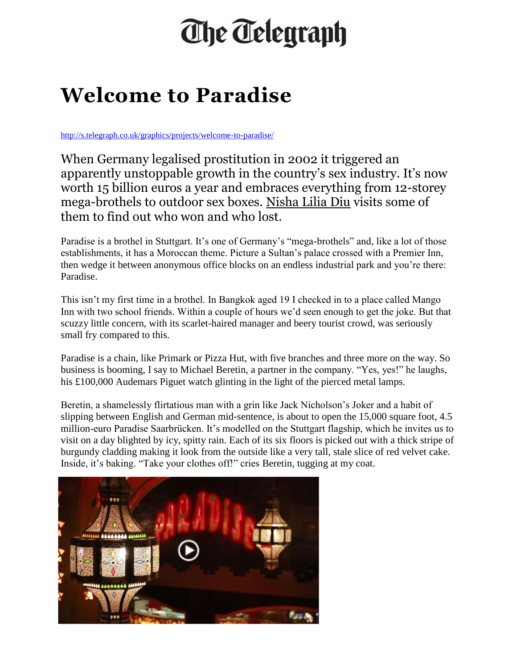## **The Telegraph**

## **Welcome to Paradise**

<http://s.telegraph.co.uk/graphics/projects/welcome-to-paradise/>

When Germany legalised prostitution in 2002 it triggered an apparently unstoppable growth in the country's sex industry. It's now worth 15 billion euros a year and embraces everything from 12-storey mega-brothels to outdoor sex boxes. [Nisha Lilia Diu](http://www.telegraph.co.uk/journalists/nisha-lilia-diu/) visits some of them to find out who won and who lost.

Paradise is a brothel in Stuttgart. It's one of Germany's "mega-brothels" and, like a lot of those establishments, it has a Moroccan theme. Picture a Sultan's palace crossed with a Premier Inn, then wedge it between anonymous office blocks on an endless industrial park and you're there: Paradise.

This isn't my first time in a brothel. In Bangkok aged 19 I checked in to a place called Mango Inn with two school friends. Within a couple of hours we'd seen enough to get the joke. But that scuzzy little concern, with its scarlet-haired manager and beery tourist crowd, was seriously small fry compared to this.

Paradise is a chain, like Primark or Pizza Hut, with five branches and three more on the way. So business is booming, I say to Michael Beretin, a partner in the company. "Yes, yes!" he laughs, his £100,000 Audemars Piguet watch glinting in the light of the pierced metal lamps.

Beretin, a shamelessly flirtatious man with a grin like Jack Nicholson's Joker and a habit of slipping between English and German mid-sentence, is about to open the 15,000 square foot, 4.5 million-euro Paradise Saarbrücken. It's modelled on the Stuttgart flagship, which he invites us to visit on a day blighted by icy, spitty rain. Each of its six floors is picked out with a thick stripe of burgundy cladding making it look from the outside like a very tall, stale slice of red velvet cake. Inside, it's baking. "Take your clothes off!" cries Beretin, tugging at my coat.

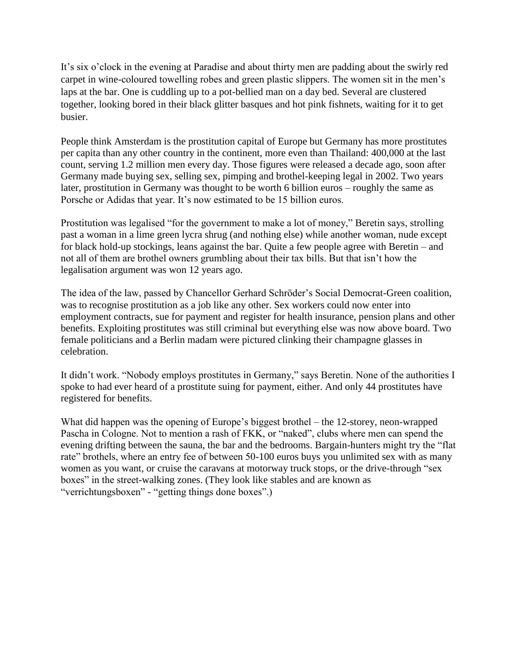It's six o'clock in the evening at Paradise and about thirty men are padding about the swirly red carpet in wine-coloured towelling robes and green plastic slippers. The women sit in the men's laps at the bar. One is cuddling up to a pot-bellied man on a day bed. Several are clustered together, looking bored in their black glitter basques and hot pink fishnets, waiting for it to get busier.

People think Amsterdam is the prostitution capital of Europe but Germany has more prostitutes per capita than any other country in the continent, more even than Thailand: 400,000 at the last count, serving 1.2 million men every day. Those figures were released a decade ago, soon after Germany made buying sex, selling sex, pimping and brothel-keeping legal in 2002. Two years later, prostitution in Germany was thought to be worth 6 billion euros – roughly the same as Porsche or Adidas that year. It's now estimated to be 15 billion euros.

Prostitution was legalised "for the government to make a lot of money," Beretin says, strolling past a woman in a lime green lycra shrug (and nothing else) while another woman, nude except for black hold-up stockings, leans against the bar. Quite a few people agree with Beretin – and not all of them are brothel owners grumbling about their tax bills. But that isn't how the legalisation argument was won 12 years ago.

The idea of the law, passed by Chancellor Gerhard Schröder's Social Democrat-Green coalition, was to recognise prostitution as a job like any other. Sex workers could now enter into employment contracts, sue for payment and register for health insurance, pension plans and other benefits. Exploiting prostitutes was still criminal but everything else was now above board. Two female politicians and a Berlin madam were pictured clinking their champagne glasses in celebration.

It didn't work. "Nobody employs prostitutes in Germany," says Beretin. None of the authorities I spoke to had ever heard of a prostitute suing for payment, either. And only 44 prostitutes have registered for benefits.

What did happen was the opening of Europe's biggest brothel – the 12-storey, neon-wrapped Pascha in Cologne. Not to mention a rash of FKK, or "naked", clubs where men can spend the evening drifting between the sauna, the bar and the bedrooms. Bargain-hunters might try the "flat rate" brothels, where an entry fee of between 50-100 euros buys you unlimited sex with as many women as you want, or cruise the caravans at motorway truck stops, or the drive-through "sex boxes" in the street-walking zones. (They look like stables and are known as "verrichtungsboxen" - "getting things done boxes".)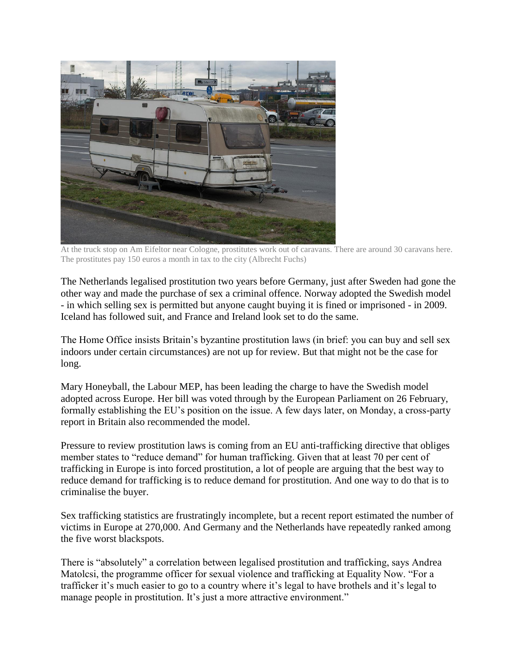

At the truck stop on Am Eifeltor near Cologne, prostitutes work out of caravans. There are around 30 caravans here. The prostitutes pay 150 euros a month in tax to the city (Albrecht Fuchs)

The Netherlands legalised prostitution two years before Germany, just after Sweden had gone the other way and made the purchase of sex a criminal offence. Norway adopted the Swedish model - in which selling sex is permitted but anyone caught buying it is fined or imprisoned - in 2009. Iceland has followed suit, and France and Ireland look set to do the same.

The Home Office insists Britain's byzantine prostitution laws (in brief: you can buy and sell sex indoors under certain circumstances) are not up for review. But that might not be the case for long.

Mary Honeyball, the Labour MEP, has been leading the charge to have the Swedish model adopted across Europe. Her bill was voted through by the European Parliament on 26 February, formally establishing the EU's position on the issue. A few days later, on Monday, a cross-party report in Britain also recommended the model.

Pressure to review prostitution laws is coming from an EU anti-trafficking directive that obliges member states to "reduce demand" for human trafficking. Given that at least 70 per cent of trafficking in Europe is into forced prostitution, a lot of people are arguing that the best way to reduce demand for trafficking is to reduce demand for prostitution. And one way to do that is to criminalise the buyer.

Sex trafficking statistics are frustratingly incomplete, but a recent report estimated the number of victims in Europe at 270,000. And Germany and the Netherlands have repeatedly ranked among the five worst blackspots.

There is "absolutely" a correlation between legalised prostitution and trafficking, says Andrea Matolcsi, the programme officer for sexual violence and trafficking at Equality Now. "For a trafficker it's much easier to go to a country where it's legal to have brothels and it's legal to manage people in prostitution. It's just a more attractive environment."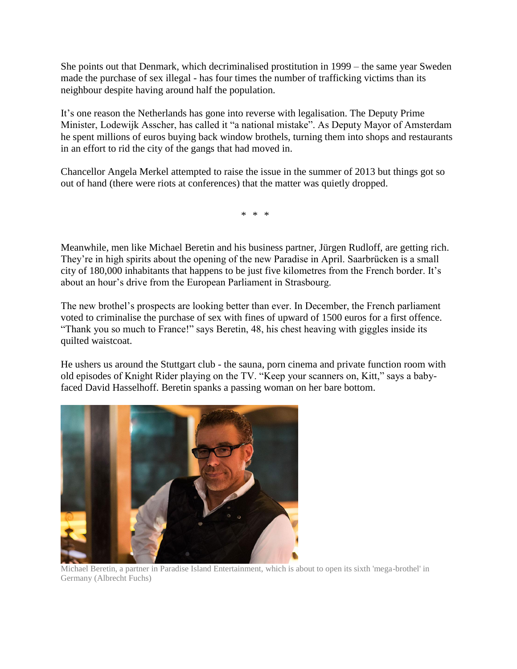She points out that Denmark, which decriminalised prostitution in 1999 – the same year Sweden made the purchase of sex illegal - has four times the number of trafficking victims than its neighbour despite having around half the population.

It's one reason the Netherlands has gone into reverse with legalisation. The Deputy Prime Minister, Lodewijk Asscher, has called it "a national mistake". As Deputy Mayor of Amsterdam he spent millions of euros buying back window brothels, turning them into shops and restaurants in an effort to rid the city of the gangs that had moved in.

Chancellor Angela Merkel attempted to raise the issue in the summer of 2013 but things got so out of hand (there were riots at conferences) that the matter was quietly dropped.

\*\*\*

Meanwhile, men like Michael Beretin and his business partner, Jürgen Rudloff, are getting rich. They're in high spirits about the opening of the new Paradise in April. Saarbrücken is a small city of 180,000 inhabitants that happens to be just five kilometres from the French border. It's about an hour's drive from the European Parliament in Strasbourg.

The new brothel's prospects are looking better than ever. In December, the French parliament voted to criminalise the purchase of sex with fines of upward of 1500 euros for a first offence. "Thank you so much to France!" says Beretin, 48, his chest heaving with giggles inside its quilted waistcoat.

He ushers us around the Stuttgart club - the sauna, porn cinema and private function room with old episodes of Knight Rider playing on the TV. "Keep your scanners on, Kitt," says a babyfaced David Hasselhoff. Beretin spanks a passing woman on her bare bottom.



Michael Beretin, a partner in Paradise Island Entertainment, which is about to open its sixth 'mega-brothel' in Germany (Albrecht Fuchs)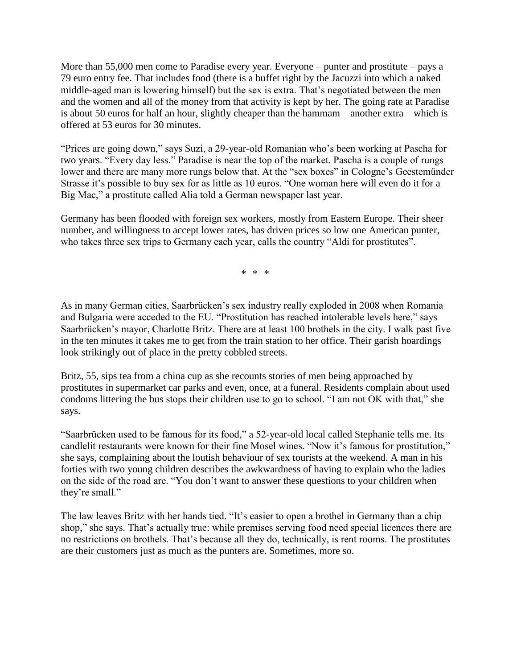More than 55,000 men come to Paradise every year. Everyone – punter and prostitute – pays a 79 euro entry fee. That includes food (there is a buffet right by the Jacuzzi into which a naked middle-aged man is lowering himself) but the sex is extra. That's negotiated between the men and the women and all of the money from that activity is kept by her. The going rate at Paradise is about 50 euros for half an hour, slightly cheaper than the hammam – another extra – which is offered at 53 euros for 30 minutes.

"Prices are going down," says Suzi, a 29-year-old Romanian who's been working at Pascha for two years. "Every day less." Paradise is near the top of the market. Pascha is a couple of rungs lower and there are many more rungs below that. At the "sex boxes" in Cologne's Geestemünder Strasse it's possible to buy sex for as little as 10 euros. "One woman here will even do it for a Big Mac," a prostitute called Alia told a German newspaper last year.

Germany has been flooded with foreign sex workers, mostly from Eastern Europe. Their sheer number, and willingness to accept lower rates, has driven prices so low one American punter, who takes three sex trips to Germany each year, calls the country "Aldi for prostitutes".

\*\*\*

As in many German cities, Saarbrücken's sex industry really exploded in 2008 when Romania and Bulgaria were acceded to the EU. "Prostitution has reached intolerable levels here," says Saarbrücken's mayor, Charlotte Britz. There are at least 100 brothels in the city. I walk past five in the ten minutes it takes me to get from the train station to her office. Their garish hoardings look strikingly out of place in the pretty cobbled streets.

Britz, 55, sips tea from a china cup as she recounts stories of men being approached by prostitutes in supermarket car parks and even, once, at a funeral. Residents complain about used condoms littering the bus stops their children use to go to school. "I am not OK with that," she says.

"Saarbrücken used to be famous for its food," a 52-year-old local called Stephanie tells me. Its candlelit restaurants were known for their fine Mosel wines. "Now it's famous for prostitution," she says, complaining about the loutish behaviour of sex tourists at the weekend. A man in his forties with two young children describes the awkwardness of having to explain who the ladies on the side of the road are. "You don't want to answer these questions to your children when they're small."

The law leaves Britz with her hands tied. "It's easier to open a brothel in Germany than a chip shop," she says. That's actually true: while premises serving food need special licences there are no restrictions on brothels. That's because all they do, technically, is rent rooms. The prostitutes are their customers just as much as the punters are. Sometimes, more so.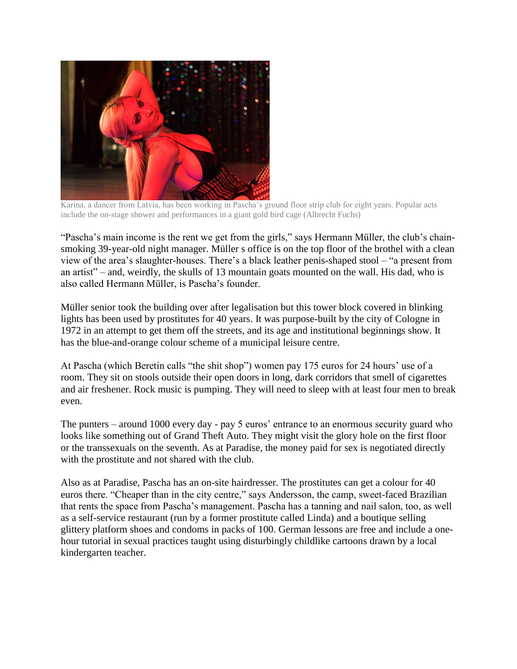

Karina, a dancer from Latvia, has been working in Pascha's ground floor strip club for eight years. Popular acts include the on-stage shower and performances in a giant gold bird cage (Albrecht Fuchs)

"Pascha's main income is the rent we get from the girls," says Hermann Müller, the club's chainsmoking 39-year-old night manager. Müller s office is on the top floor of the brothel with a clean view of the area's slaughter-houses. There's a black leather penis-shaped stool – "a present from an artist" – and, weirdly, the skulls of 13 mountain goats mounted on the wall. His dad, who is also called Hermann Müller, is Pascha's founder.

Müller senior took the building over after legalisation but this tower block covered in blinking lights has been used by prostitutes for 40 years. It was purpose-built by the city of Cologne in 1972 in an attempt to get them off the streets, and its age and institutional beginnings show. It has the blue-and-orange colour scheme of a municipal leisure centre.

At Pascha (which Beretin calls "the shit shop") women pay 175 euros for 24 hours' use of a room. They sit on stools outside their open doors in long, dark corridors that smell of cigarettes and air freshener. Rock music is pumping. They will need to sleep with at least four men to break even.

The punters – around 1000 every day - pay 5 euros' entrance to an enormous security guard who looks like something out of Grand Theft Auto. They might visit the glory hole on the first floor or the transsexuals on the seventh. As at Paradise, the money paid for sex is negotiated directly with the prostitute and not shared with the club.

Also as at Paradise, Pascha has an on-site hairdresser. The prostitutes can get a colour for 40 euros there. "Cheaper than in the city centre," says Andersson, the camp, sweet-faced Brazilian that rents the space from Pascha's management. Pascha has a tanning and nail salon, too, as well as a self-service restaurant (run by a former prostitute called Linda) and a boutique selling glittery platform shoes and condoms in packs of 100. German lessons are free and include a onehour tutorial in sexual practices taught using disturbingly childlike cartoons drawn by a local kindergarten teacher.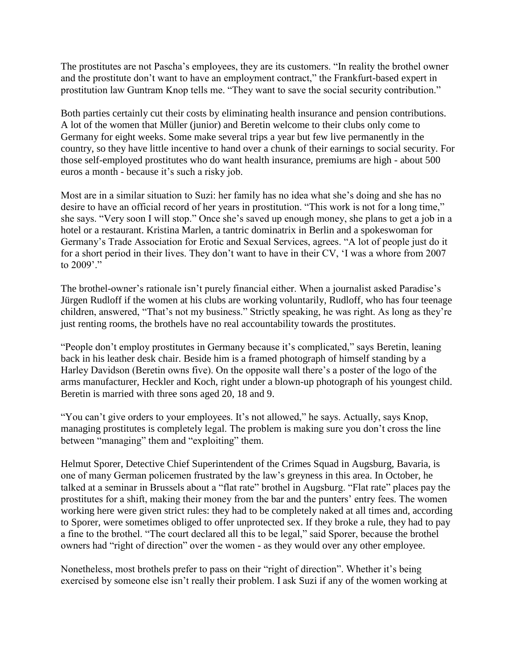The prostitutes are not Pascha's employees, they are its customers. "In reality the brothel owner and the prostitute don't want to have an employment contract," the Frankfurt-based expert in prostitution law Guntram Knop tells me. "They want to save the social security contribution."

Both parties certainly cut their costs by eliminating health insurance and pension contributions. A lot of the women that Müller (junior) and Beretin welcome to their clubs only come to Germany for eight weeks. Some make several trips a year but few live permanently in the country, so they have little incentive to hand over a chunk of their earnings to social security. For those self-employed prostitutes who do want health insurance, premiums are high - about 500 euros a month - because it's such a risky job.

Most are in a similar situation to Suzi: her family has no idea what she's doing and she has no desire to have an official record of her years in prostitution. "This work is not for a long time," she says. "Very soon I will stop." Once she's saved up enough money, she plans to get a job in a hotel or a restaurant. Kristina Marlen, a tantric dominatrix in Berlin and a spokeswoman for Germany's Trade Association for Erotic and Sexual Services, agrees. "A lot of people just do it for a short period in their lives. They don't want to have in their CV, 'I was a whore from 2007 to 2009'."

The brothel-owner's rationale isn't purely financial either. When a journalist asked Paradise's Jürgen Rudloff if the women at his clubs are working voluntarily, Rudloff, who has four teenage children, answered, "That's not my business." Strictly speaking, he was right. As long as they're just renting rooms, the brothels have no real accountability towards the prostitutes.

"People don't employ prostitutes in Germany because it's complicated," says Beretin, leaning back in his leather desk chair. Beside him is a framed photograph of himself standing by a Harley Davidson (Beretin owns five). On the opposite wall there's a poster of the logo of the arms manufacturer, Heckler and Koch, right under a blown-up photograph of his youngest child. Beretin is married with three sons aged 20, 18 and 9.

"You can't give orders to your employees. It's not allowed," he says. Actually, says Knop, managing prostitutes is completely legal. The problem is making sure you don't cross the line between "managing" them and "exploiting" them.

Helmut Sporer, Detective Chief Superintendent of the Crimes Squad in Augsburg, Bavaria, is one of many German policemen frustrated by the law's greyness in this area. In October, he talked at a seminar in Brussels about a "flat rate" brothel in Augsburg. "Flat rate" places pay the prostitutes for a shift, making their money from the bar and the punters' entry fees. The women working here were given strict rules: they had to be completely naked at all times and, according to Sporer, were sometimes obliged to offer unprotected sex. If they broke a rule, they had to pay a fine to the brothel. "The court declared all this to be legal," said Sporer, because the brothel owners had "right of direction" over the women - as they would over any other employee.

Nonetheless, most brothels prefer to pass on their "right of direction". Whether it's being exercised by someone else isn't really their problem. I ask Suzi if any of the women working at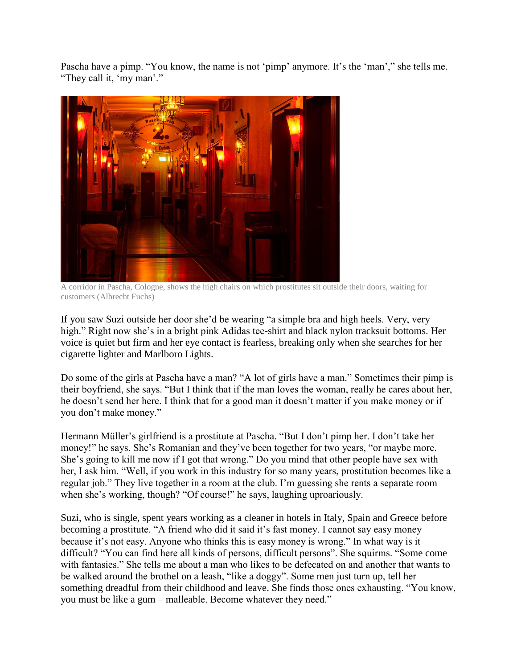Pascha have a pimp. "You know, the name is not 'pimp' anymore. It's the 'man'," she tells me. "They call it, 'my man'."



A corridor in Pascha, Cologne, shows the high chairs on which prostitutes sit outside their doors, waiting for customers (Albrecht Fuchs)

If you saw Suzi outside her door she'd be wearing "a simple bra and high heels. Very, very high." Right now she's in a bright pink Adidas tee-shirt and black nylon tracksuit bottoms. Her voice is quiet but firm and her eye contact is fearless, breaking only when she searches for her cigarette lighter and Marlboro Lights.

Do some of the girls at Pascha have a man? "A lot of girls have a man." Sometimes their pimp is their boyfriend, she says. "But I think that if the man loves the woman, really he cares about her, he doesn't send her here. I think that for a good man it doesn't matter if you make money or if you don't make money."

Hermann Müller's girlfriend is a prostitute at Pascha. "But I don't pimp her. I don't take her money!" he says. She's Romanian and they've been together for two years, "or maybe more. She's going to kill me now if I got that wrong." Do you mind that other people have sex with her, I ask him. "Well, if you work in this industry for so many years, prostitution becomes like a regular job." They live together in a room at the club. I'm guessing she rents a separate room when she's working, though? "Of course!" he says, laughing uproariously.

Suzi, who is single, spent years working as a cleaner in hotels in Italy, Spain and Greece before becoming a prostitute. "A friend who did it said it's fast money. I cannot say easy money because it's not easy. Anyone who thinks this is easy money is wrong." In what way is it difficult? "You can find here all kinds of persons, difficult persons". She squirms. "Some come with fantasies." She tells me about a man who likes to be defecated on and another that wants to be walked around the brothel on a leash, "like a doggy". Some men just turn up, tell her something dreadful from their childhood and leave. She finds those ones exhausting. "You know, you must be like a gum – malleable. Become whatever they need."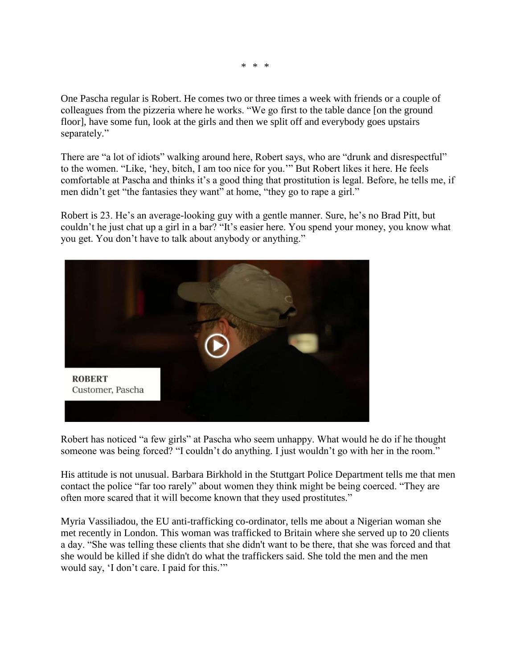One Pascha regular is Robert. He comes two or three times a week with friends or a couple of colleagues from the pizzeria where he works. "We go first to the table dance [on the ground floor], have some fun, look at the girls and then we split off and everybody goes upstairs separately."

There are "a lot of idiots" walking around here, Robert says, who are "drunk and disrespectful" to the women. "Like, 'hey, bitch, I am too nice for you.'" But Robert likes it here. He feels comfortable at Pascha and thinks it's a good thing that prostitution is legal. Before, he tells me, if men didn't get "the fantasies they want" at home, "they go to rape a girl."

Robert is 23. He's an average-looking guy with a gentle manner. Sure, he's no Brad Pitt, but couldn't he just chat up a girl in a bar? "It's easier here. You spend your money, you know what you get. You don't have to talk about anybody or anything."



Robert has noticed "a few girls" at Pascha who seem unhappy. What would he do if he thought someone was being forced? "I couldn't do anything. I just wouldn't go with her in the room."

His attitude is not unusual. Barbara Birkhold in the Stuttgart Police Department tells me that men contact the police "far too rarely" about women they think might be being coerced. "They are often more scared that it will become known that they used prostitutes."

Myria Vassiliadou, the EU anti-trafficking co-ordinator, tells me about a Nigerian woman she met recently in London. This woman was trafficked to Britain where she served up to 20 clients a day. "She was telling these clients that she didn't want to be there, that she was forced and that she would be killed if she didn't do what the traffickers said. She told the men and the men would say, 'I don't care. I paid for this.'"

\*\*\*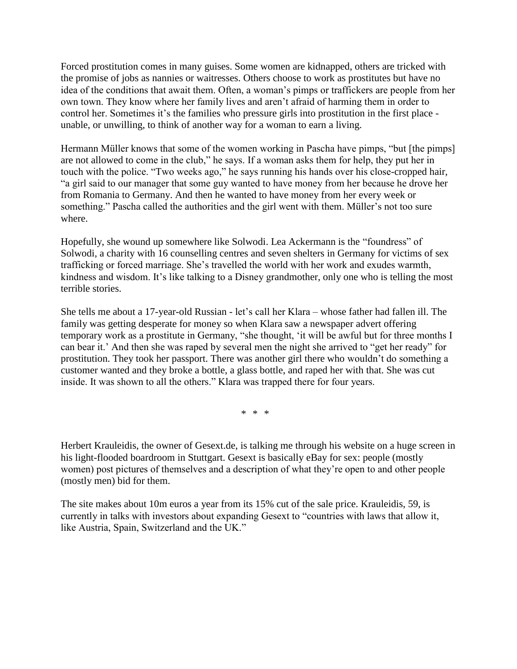Forced prostitution comes in many guises. Some women are kidnapped, others are tricked with the promise of jobs as nannies or waitresses. Others choose to work as prostitutes but have no idea of the conditions that await them. Often, a woman's pimps or traffickers are people from her own town. They know where her family lives and aren't afraid of harming them in order to control her. Sometimes it's the families who pressure girls into prostitution in the first place unable, or unwilling, to think of another way for a woman to earn a living.

Hermann Müller knows that some of the women working in Pascha have pimps, "but [the pimps] are not allowed to come in the club," he says. If a woman asks them for help, they put her in touch with the police. "Two weeks ago," he says running his hands over his close-cropped hair, "a girl said to our manager that some guy wanted to have money from her because he drove her from Romania to Germany. And then he wanted to have money from her every week or something." Pascha called the authorities and the girl went with them. Müller's not too sure where.

Hopefully, she wound up somewhere like Solwodi. Lea Ackermann is the "foundress" of Solwodi, a charity with 16 counselling centres and seven shelters in Germany for victims of sex trafficking or forced marriage. She's travelled the world with her work and exudes warmth, kindness and wisdom. It's like talking to a Disney grandmother, only one who is telling the most terrible stories.

She tells me about a 17-year-old Russian - let's call her Klara – whose father had fallen ill. The family was getting desperate for money so when Klara saw a newspaper advert offering temporary work as a prostitute in Germany, "she thought, 'it will be awful but for three months I can bear it.' And then she was raped by several men the night she arrived to "get her ready" for prostitution. They took her passport. There was another girl there who wouldn't do something a customer wanted and they broke a bottle, a glass bottle, and raped her with that. She was cut inside. It was shown to all the others." Klara was trapped there for four years.

\*\*\*

Herbert Krauleidis, the owner of Gesext.de, is talking me through his website on a huge screen in his light-flooded boardroom in Stuttgart. Gesext is basically eBay for sex: people (mostly women) post pictures of themselves and a description of what they're open to and other people (mostly men) bid for them.

The site makes about 10m euros a year from its 15% cut of the sale price. Krauleidis, 59, is currently in talks with investors about expanding Gesext to "countries with laws that allow it, like Austria, Spain, Switzerland and the UK."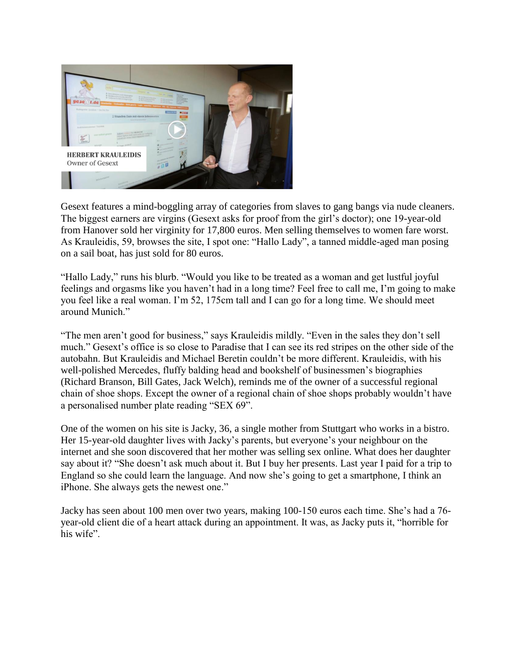

Gesext features a mind-boggling array of categories from slaves to gang bangs via nude cleaners. The biggest earners are virgins (Gesext asks for proof from the girl's doctor); one 19-year-old from Hanover sold her virginity for 17,800 euros. Men selling themselves to women fare worst. As Krauleidis, 59, browses the site, I spot one: "Hallo Lady", a tanned middle-aged man posing on a sail boat, has just sold for 80 euros.

"Hallo Lady," runs his blurb. "Would you like to be treated as a woman and get lustful joyful feelings and orgasms like you haven't had in a long time? Feel free to call me, I'm going to make you feel like a real woman. I'm 52, 175cm tall and I can go for a long time. We should meet around Munich."

"The men aren't good for business," says Krauleidis mildly. "Even in the sales they don't sell much." Gesext's office is so close to Paradise that I can see its red stripes on the other side of the autobahn. But Krauleidis and Michael Beretin couldn't be more different. Krauleidis, with his well-polished Mercedes, fluffy balding head and bookshelf of businessmen's biographies (Richard Branson, Bill Gates, Jack Welch), reminds me of the owner of a successful regional chain of shoe shops. Except the owner of a regional chain of shoe shops probably wouldn't have a personalised number plate reading "SEX 69".

One of the women on his site is Jacky, 36, a single mother from Stuttgart who works in a bistro. Her 15-year-old daughter lives with Jacky's parents, but everyone's your neighbour on the internet and she soon discovered that her mother was selling sex online. What does her daughter say about it? "She doesn't ask much about it. But I buy her presents. Last year I paid for a trip to England so she could learn the language. And now she's going to get a smartphone, I think an iPhone. She always gets the newest one."

Jacky has seen about 100 men over two years, making 100-150 euros each time. She's had a 76 year-old client die of a heart attack during an appointment. It was, as Jacky puts it, "horrible for his wife".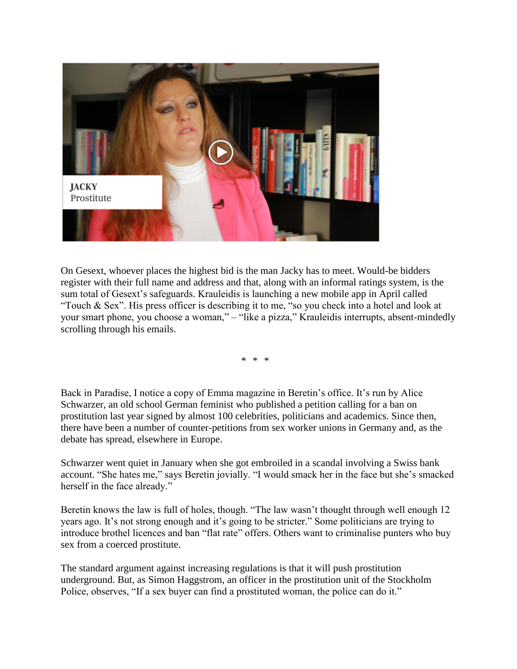

On Gesext, whoever places the highest bid is the man Jacky has to meet. Would-be bidders register with their full name and address and that, along with an informal ratings system, is the sum total of Gesext's safeguards. Krauleidis is launching a new mobile app in April called "Touch & Sex". His press officer is describing it to me, "so you check into a hotel and look at your smart phone, you choose a woman," – "like a pizza," Krauleidis interrupts, absent-mindedly scrolling through his emails.

\*\*\*

Back in Paradise, I notice a copy of Emma magazine in Beretin's office. It's run by Alice Schwarzer, an old school German feminist who published a petition calling for a ban on prostitution last year signed by almost 100 celebrities, politicians and academics. Since then, there have been a number of counter-petitions from sex worker unions in Germany and, as the debate has spread, elsewhere in Europe.

Schwarzer went quiet in January when she got embroiled in a scandal involving a Swiss bank account. "She hates me," says Beretin jovially. "I would smack her in the face but she's smacked herself in the face already."

Beretin knows the law is full of holes, though. "The law wasn't thought through well enough 12 years ago. It's not strong enough and it's going to be stricter." Some politicians are trying to introduce brothel licences and ban "flat rate" offers. Others want to criminalise punters who buy sex from a coerced prostitute.

The standard argument against increasing regulations is that it will push prostitution underground. But, as Simon Haggstrom, an officer in the prostitution unit of the Stockholm Police, observes, "If a sex buyer can find a prostituted woman, the police can do it."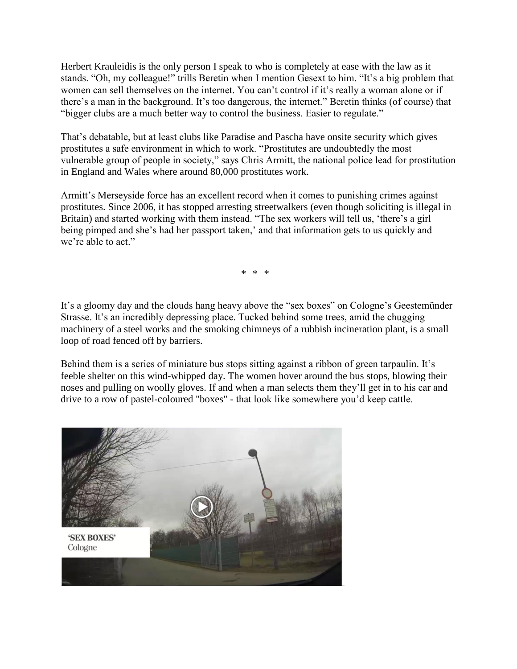Herbert Krauleidis is the only person I speak to who is completely at ease with the law as it stands. "Oh, my colleague!" trills Beretin when I mention Gesext to him. "It's a big problem that women can sell themselves on the internet. You can't control if it's really a woman alone or if there's a man in the background. It's too dangerous, the internet." Beretin thinks (of course) that "bigger clubs are a much better way to control the business. Easier to regulate."

That's debatable, but at least clubs like Paradise and Pascha have onsite security which gives prostitutes a safe environment in which to work. "Prostitutes are undoubtedly the most vulnerable group of people in society," says Chris Armitt, the national police lead for prostitution in England and Wales where around 80,000 prostitutes work.

Armitt's Merseyside force has an excellent record when it comes to punishing crimes against prostitutes. Since 2006, it has stopped arresting streetwalkers (even though soliciting is illegal in Britain) and started working with them instead. "The sex workers will tell us, 'there's a girl being pimped and she's had her passport taken,' and that information gets to us quickly and we're able to act."

\*\*\*

It's a gloomy day and the clouds hang heavy above the "sex boxes" on Cologne's Geestemünder Strasse. It's an incredibly depressing place. Tucked behind some trees, amid the chugging machinery of a steel works and the smoking chimneys of a rubbish incineration plant, is a small loop of road fenced off by barriers.

Behind them is a series of miniature bus stops sitting against a ribbon of green tarpaulin. It's feeble shelter on this wind-whipped day. The women hover around the bus stops, blowing their noses and pulling on woolly gloves. If and when a man selects them they'll get in to his car and drive to a row of pastel-coloured "boxes" - that look like somewhere you'd keep cattle.

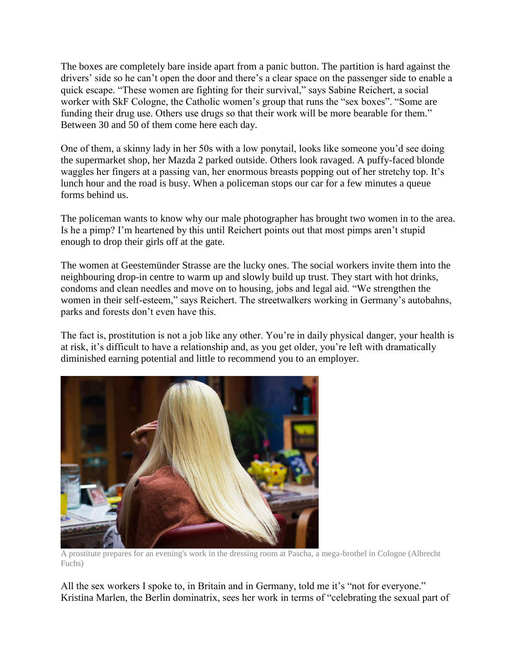The boxes are completely bare inside apart from a panic button. The partition is hard against the drivers' side so he can't open the door and there's a clear space on the passenger side to enable a quick escape. "These women are fighting for their survival," says Sabine Reichert, a social worker with SkF Cologne, the Catholic women's group that runs the "sex boxes". "Some are funding their drug use. Others use drugs so that their work will be more bearable for them." Between 30 and 50 of them come here each day.

One of them, a skinny lady in her 50s with a low ponytail, looks like someone you'd see doing the supermarket shop, her Mazda 2 parked outside. Others look ravaged. A puffy-faced blonde waggles her fingers at a passing van, her enormous breasts popping out of her stretchy top. It's lunch hour and the road is busy. When a policeman stops our car for a few minutes a queue forms behind us.

The policeman wants to know why our male photographer has brought two women in to the area. Is he a pimp? I'm heartened by this until Reichert points out that most pimps aren't stupid enough to drop their girls off at the gate.

The women at Geestemünder Strasse are the lucky ones. The social workers invite them into the neighbouring drop-in centre to warm up and slowly build up trust. They start with hot drinks, condoms and clean needles and move on to housing, jobs and legal aid. "We strengthen the women in their self-esteem," says Reichert. The streetwalkers working in Germany's autobahns, parks and forests don't even have this.

The fact is, prostitution is not a job like any other. You're in daily physical danger, your health is at risk, it's difficult to have a relationship and, as you get older, you're left with dramatically diminished earning potential and little to recommend you to an employer.



A prostitute prepares for an evening's work in the dressing room at Pascha, a mega-brothel in Cologne (Albrecht Fuchs)

All the sex workers I spoke to, in Britain and in Germany, told me it's "not for everyone." Kristina Marlen, the Berlin dominatrix, sees her work in terms of "celebrating the sexual part of